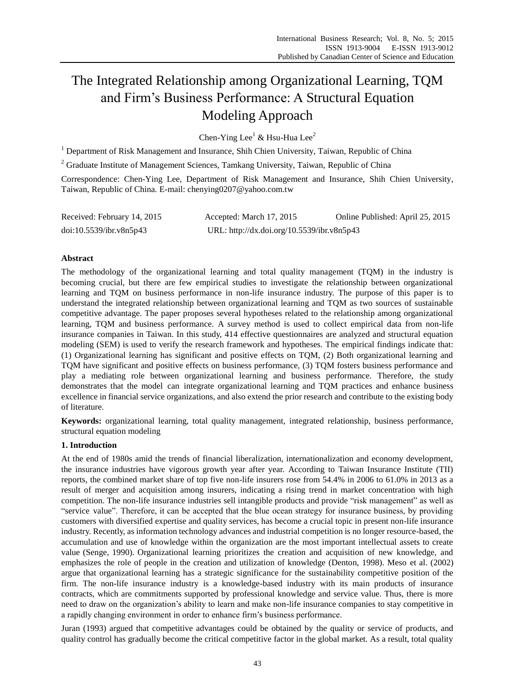# The Integrated Relationship among Organizational Learning, TQM and Firm"s Business Performance: A Structural Equation Modeling Approach

Chen-Ying Lee<sup>1</sup> & Hsu-Hua Lee<sup>2</sup>

<sup>1</sup> Department of Risk Management and Insurance, Shih Chien University, Taiwan, Republic of China

<sup>2</sup> Graduate Institute of Management Sciences, Tamkang University, Taiwan, Republic of China

Correspondence: Chen-Ying Lee, Department of Risk Management and Insurance, Shih Chien University, Taiwan, Republic of China. E-mail: chenying0207@yahoo.com.tw

| Received: February 14, 2015 | Accepted: March 17, 2015                   | Online Published: April 25, 2015 |
|-----------------------------|--------------------------------------------|----------------------------------|
| doi:10.5539/ibr.v8n5p43     | URL: http://dx.doi.org/10.5539/ibr.v8n5p43 |                                  |

## **Abstract**

The methodology of the organizational learning and total quality management (TQM) in the industry is becoming crucial, but there are few empirical studies to investigate the relationship between organizational learning and TQM on business performance in non-life insurance industry. The purpose of this paper is to understand the integrated relationship between organizational learning and TQM as two sources of sustainable competitive advantage. The paper proposes several hypotheses related to the relationship among organizational learning, TQM and business performance. A survey method is used to collect empirical data from non-life insurance companies in Taiwan. In this study, 414 effective questionnaires are analyzed and structural equation modeling (SEM) is used to verify the research framework and hypotheses. The empirical findings indicate that: (1) Organizational learning has significant and positive effects on TQM, (2) Both organizational learning and TQM have significant and positive effects on business performance, (3) TQM fosters business performance and play a mediating role between organizational learning and business performance. Therefore, the study demonstrates that the model can integrate organizational learning and TQM practices and enhance business excellence in financial service organizations, and also extend the prior research and contribute to the existing body of literature.

**Keywords:** organizational learning, total quality management, integrated relationship, business performance, structural equation modeling

# **1. Introduction**

At the end of 1980s amid the trends of financial liberalization, internationalization and economy development, the insurance industries have vigorous growth year after year. According to Taiwan Insurance Institute (TII) reports, the combined market share of top five non-life insurers rose from 54.4% in 2006 to 61.0% in 2013 as a result of merger and acquisition among insurers, indicating a rising trend in market concentration with high competition. The non-life insurance industries sell intangible products and provide "risk management" as well as "service value". Therefore, it can be accepted that the blue ocean strategy for insurance business, by providing customers with diversified expertise and quality services, has become a crucial topic in present non-life insurance industry. Recently, as information technology advances and industrial competition is no longer resource-based, the accumulation and use of knowledge within the organization are the most important intellectual assets to create value (Senge, 1990). Organizational learning prioritizes the creation and acquisition of new knowledge, and emphasizes the role of people in the creation and utilization of knowledge (Denton, 1998). Meso et al. (2002) argue that organizational learning has a strategic significance for the sustainability competitive position of the firm. The non-life insurance industry is a knowledge-based industry with its main products of insurance contracts, which are commitments supported by professional knowledge and service value. Thus, there is more need to draw on the organization"s ability to learn and make non-life insurance companies to stay competitive in a rapidly changing environment in order to enhance firm"s business performance.

Juran (1993) argued that competitive advantages could be obtained by the quality or service of products, and quality control has gradually become the critical competitive factor in the global market. As a result, total quality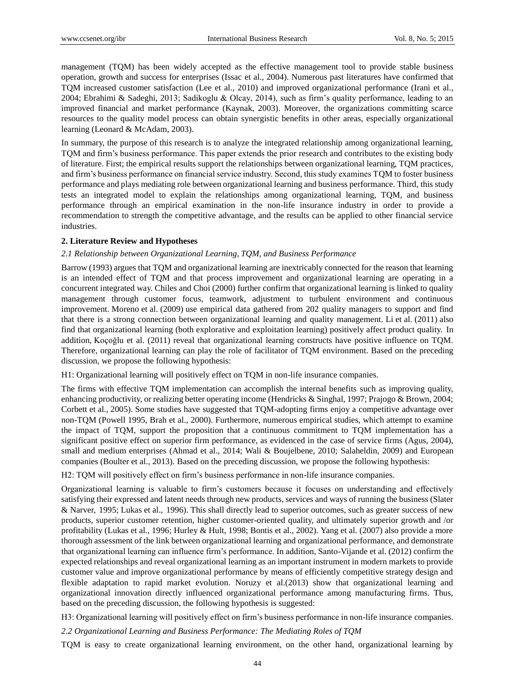management (TQM) has been widely accepted as the effective management tool to provide stable business operation, growth and success for enterprises (Issac et al., 2004). Numerous past literatures have confirmed that TQM increased customer satisfaction (Lee et al., 2010) and improved organizational performance (Irani et al., 2004; Ebrahimi & Sadeghi, 2013; Sadikoglu & Olcay, 2014), such as firm"s quality performance, leading to an improved financial and market performance (Kaynak, 2003). Moreover, the organizations committing scarce resources to the quality model process can obtain synergistic benefits in other areas, especially organizational learning (Leonard & McAdam, 2003).

In summary, the purpose of this research is to analyze the integrated relationship among organizational learning, TQM and firm"s business performance. This paper extends the prior research and contributes to the existing body of literature. First; the empirical results support the relationships between organizational learning, TQM practices, and firm"s business performance on financial service industry. Second, this study examines TQM to foster business performance and plays mediating role between organizational learning and business performance. Third, this study tests an integrated model to explain the relationships among organizational learning, TQM, and business performance through an empirical examination in the non-life insurance industry in order to provide a recommendation to strength the competitive advantage, and the results can be applied to other financial service industries.

# **2. Literature Review and Hypotheses**

# *2.1 Relationship between Organizational Learning, TQM, and Business Performance*

Barrow (1993) argues that TQM and organizational learning are inextricably connected for the reason that learning is an intended effect of TQM and that process improvement and organizational learning are operating in a concurrent integrated way. Chiles and Choi (2000) further confirm that organizational learning is linked to quality management through customer focus, teamwork, adjustment to turbulent environment and continuous improvement. Moreno et al. (2009) use empirical data gathered from 202 quality managers to support and find that there is a strong connection between organizational learning and quality management. Li et al. (2011) also find that organizational learning (both explorative and exploitation learning) positively affect product quality. In addition, Koçoğlu et al. (2011) reveal that organizational learning constructs have positive influence on TQM. Therefore, organizational learning can play the role of facilitator of TQM environment. Based on the preceding discussion, we propose the following hypothesis:

H1: Organizational learning will positively effect on TQM in non-life insurance companies.

The firms with effective TQM implementation can accomplish the internal benefits such as improving quality, enhancing productivity, or realizing better operating income (Hendricks & Singhal, 1997; Prajogo & Brown, 2004; Corbett et al., 2005). Some studies have suggested that TQM-adopting firms enjoy a competitive advantage over non-TQM (Powell 1995, Brah et al., 2000). Furthermore, numerous empirical studies, which attempt to examine the impact of TQM, support the proposition that a continuous commitment to TQM implementation has a significant positive effect on superior firm performance, as evidenced in the case of service firms (Agus, 2004), small and medium enterprises (Ahmad et al., 2014; Wali & Boujelbene, 2010; Salaheldin, 2009) and European companies (Boulter et al., 2013). Based on the preceding discussion, we propose the following hypothesis:

H2: TQM will positively effect on firm"s business performance in non-life insurance companies.

Organizational learning is valuable to firm"s customers because it focuses on understanding and effectively satisfying their expressed and latent needs through new products, services and ways of running the business (Slater & Narver, 1995; Lukas et al., 1996). This shall directly lead to superior outcomes, such as greater success of new products, superior customer retention, higher customer-oriented quality, and ultimately superior growth and /or profitability (Lukas et al., 1996; Hurley & Hult, 1998; Bontis et al., 2002). Yang et al. (2007) also provide a more thorough assessment of the link between organizational learning and organizational performance, and demonstrate that organizational learning can influence firm"s performance. In addition, Santo-Vijande et al. (2012) confirm the expected relationships and reveal organizational learning as an important instrument in modern markets to provide customer value and improve organizational performance by means of efficiently competitive strategy design and flexible adaptation to rapid market evolution. Noruzy et al.(2013) show that organizational learning and organizational innovation directly influenced organizational performance among manufacturing firms. Thus, based on the preceding discussion, the following hypothesis is suggested:

H3: Organizational learning will positively effect on firm"s business performance in non-life insurance companies.

*2.2 Organizational Learning and Business Performance: The Mediating Roles of TQM* 

TQM is easy to create organizational learning environment, on the other hand, organizational learning by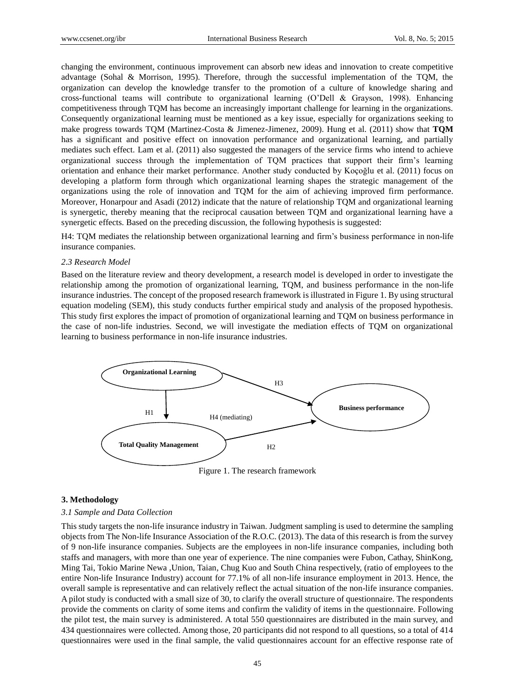changing the environment, continuous improvement can absorb new ideas and innovation to create competitive advantage (Sohal & Morrison, 1995). Therefore, through the successful implementation of the TQM, the organization can develop the knowledge transfer to the promotion of a culture of knowledge sharing and cross-functional teams will contribute to organizational learning (O"Dell & Grayson, 1998). Enhancing competitiveness through TQM has become an increasingly important challenge for learning in the organizations. Consequently organizational learning must be mentioned as a key issue, especially for organizations seeking to make progress towards TQM (Martinez-Costa & Jimenez-Jimenez, 2009). Hung et al. (2011) show that **TQM**  has a significant and positive effect on innovation performance and organizational learning, and partially mediates such effect. Lam et al. (2011) also suggested the managers of the service firms who intend to achieve organizational success through the implementation of TQM practices that support their firm"s learning orientation and enhance their market performance. Another study conducted by Koçoğlu et al. (2011) focus on developing a platform form through which organizational learning shapes the strategic management of the organizations using the role of innovation and TQM for the aim of achieving improved firm performance. Moreover, Honarpour and Asadi (2012) indicate that the nature of relationship TQM and organizational learning is synergetic, thereby meaning that the reciprocal causation between TQM and organizational learning have a synergetic effects. Based on the preceding discussion, the following hypothesis is suggested:

H4: TQM mediates the relationship between organizational learning and firm"s business performance in non-life insurance companies.

## *2.3 Research Model*

Based on the literature review and theory development, a research model is developed in order to investigate the relationship among the promotion of organizational learning, TQM, and business performance in the non-life insurance industries. The concept of the proposed research framework is illustrated in Figure 1. By using structural equation modeling (SEM), this study conducts further empirical study and analysis of the proposed hypothesis. This study first explores the impact of promotion of organizational learning and TQM on business performance in the case of non-life industries. Second, we will investigate the mediation effects of TQM on organizational learning to business performance in non-life insurance industries.



Figure 1. The research framework

#### **3. Methodology**

#### *3.1 Sample and Data Collection*

This study targets the non-life insurance industry in Taiwan. Judgment sampling is used to determine the sampling objects from The Non-life Insurance Association of the R.O.C. (2013). The data of this research is from the survey of 9 non-life insurance companies. Subjects are the employees in non-life insurance companies, including both staffs and managers, with more than one year of experience. The nine companies were Fubon, Cathay, ShinKong, Ming Tai, Tokio Marine Newa ,Union, Taian, Chug Kuo and South China respectively, (ratio of employees to the entire Non-life Insurance Industry) account for 77.1% of all non-life insurance employment in 2013. Hence, the overall sample is representative and can relatively reflect the actual situation of the non-life insurance companies. A pilot study is conducted with a small size of 30, to clarify the overall structure of questionnaire. The respondents provide the comments on clarity of some items and confirm the validity of items in the questionnaire. Following the pilot test, the main survey is administered. A total 550 questionnaires are distributed in the main survey, and 434 questionnaires were collected. Among those, 20 participants did not respond to all questions, so a total of 414 questionnaires were used in the final sample, the valid questionnaires account for an effective response rate of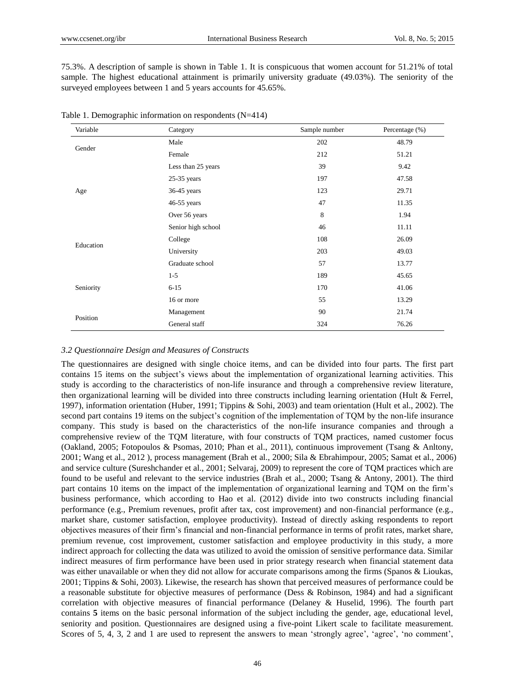75.3%. A description of sample is shown in Table 1. It is conspicuous that women account for 51.21% of total sample. The highest educational attainment is primarily university graduate (49.03%). The seniority of the surveyed employees between 1 and 5 years accounts for 45.65%.

| Variable  | Category           | Sample number | Percentage (%) |
|-----------|--------------------|---------------|----------------|
| Gender    | Male               | 202           | 48.79          |
|           | Female             | 212           | 51.21          |
|           | Less than 25 years | 39            | 9.42           |
|           | $25-35$ years      | 197           | 47.58          |
| Age       | $36-45$ years      | 123           | 29.71          |
|           | 46-55 years        | 47            | 11.35          |
|           | Over 56 years      | 8             | 1.94           |
|           | Senior high school | 46            | 11.11          |
|           | College            | 108           | 26.09          |
| Education | University         | 203           | 49.03          |
|           | Graduate school    | 57            | 13.77          |
| Seniority | $1 - 5$            | 189           | 45.65          |
|           | $6 - 15$           | 170           | 41.06          |
|           | 16 or more         | 55            | 13.29          |
|           | Management         | 90            | 21.74          |
| Position  | General staff      | 324           | 76.26          |

|  |  | Table 1. Demographic information on respondents $(N=414)$ |  |  |
|--|--|-----------------------------------------------------------|--|--|
|  |  |                                                           |  |  |

## *3.2 Questionnaire Design and Measures of Constructs*

The questionnaires are designed with single choice items, and can be divided into four parts. The first part contains 15 items on the subject"s views about the implementation of organizational learning activities. This study is according to the characteristics of non-life insurance and through a comprehensive review literature, then organizational learning will be divided into three constructs including learning orientation (Hult & Ferrel, 1997), information orientation (Huber, 1991; Tippins & Sohi, 2003) and team orientation (Hult et al., 2002). The second part contains 19 items on the subject's cognition of the implementation of TQM by the non-life insurance company. This study is based on the characteristics of the non-life insurance companies and through a comprehensive review of the TQM literature, with four constructs of TQM practices, named customer focus (Oakland, 2005; Fotopoulos & Psomas, 2010; Phan et al., 2011), continuous improvement (Tsang & Anltony, 2001; Wang et al., 2012 ), process management (Brah et al., 2000; Sila & Ebrahimpour, 2005; Samat et al., 2006) and service culture (Sureshchander et al., 2001; Selvaraj, 2009) to represent the core of TQM practices which are found to be useful and relevant to the service industries (Brah et al., 2000; Tsang & Antony, 2001). The third part contains 10 items on the impact of the implementation of organizational learning and TQM on the firm"s business performance, which according to Hao et al. (2012) divide into two constructs including financial performance (e.g., Premium revenues, profit after tax, cost improvement) and non-financial performance (e.g., market share, customer satisfaction, employee productivity). Instead of directly asking respondents to report objectives measures of their firm"s financial and non-financial performance in terms of profit rates, market share, premium revenue, cost improvement, customer satisfaction and employee productivity in this study, a more indirect approach for collecting the data was utilized to avoid the omission of sensitive performance data. Similar indirect measures of firm performance have been used in prior strategy research when financial statement data was either unavailable or when they did not allow for accurate comparisons among the firms (Spanos & Lioukas, 2001; Tippins & Sohi, 2003). Likewise, the research has shown that perceived measures of performance could be a reasonable substitute for objective measures of performance (Dess & Robinson, 1984) and had a significant correlation with objective measures of financial performance (Delaney & Huselid, 1996). The fourth part contains **5** items on the basic personal information of the subject including the gender, age, educational level, seniority and position. Questionnaires are designed using a five-point Likert scale to facilitate measurement. Scores of 5, 4, 3, 2 and 1 are used to represent the answers to mean 'strongly agree', 'agree', 'no comment',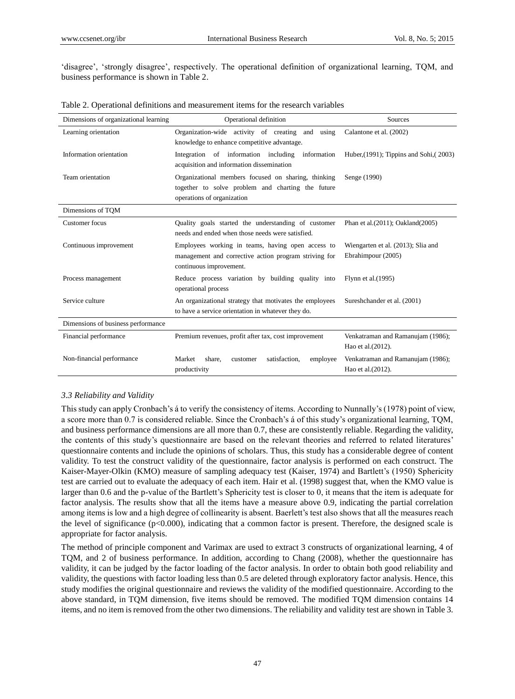"disagree", "strongly disagree", respectively. The operational definition of organizational learning, TQM, and business performance is shown in Table 2.

| Dimensions of organizational learning | Operational definition                                    | Sources                                      |  |  |
|---------------------------------------|-----------------------------------------------------------|----------------------------------------------|--|--|
| Learning orientation                  | Organization-wide activity of creating and using          | Calantone et al. (2002)                      |  |  |
|                                       | knowledge to enhance competitive advantage.               |                                              |  |  |
| Information orientation               | Integration of information including information          | Huber, $(1991)$ ; Tippins and Sohi, $(2003)$ |  |  |
|                                       | acquisition and information dissemination                 |                                              |  |  |
| Team orientation                      | Organizational members focused on sharing, thinking       | Senge (1990)                                 |  |  |
|                                       | together to solve problem and charting the future         |                                              |  |  |
|                                       | operations of organization                                |                                              |  |  |
| Dimensions of TQM                     |                                                           |                                              |  |  |
| <b>Customer</b> focus                 | Quality goals started the understanding of customer       | Phan et al. (2011); Oakland (2005)           |  |  |
|                                       | needs and ended when those needs were satisfied.          |                                              |  |  |
| Continuous improvement                | Employees working in teams, having open access to         | Wiengarten et al. (2013); Slia and           |  |  |
|                                       | management and corrective action program striving for     | Ebrahimpour (2005)                           |  |  |
|                                       | continuous improvement.                                   |                                              |  |  |
| Process management                    | Reduce process variation by building quality into         | Flynn et al. $(1995)$                        |  |  |
|                                       | operational process                                       |                                              |  |  |
| Service culture                       | An organizational strategy that motivates the employees   | Sureshchander et al. (2001)                  |  |  |
|                                       | to have a service orientation in whatever they do.        |                                              |  |  |
| Dimensions of business performance    |                                                           |                                              |  |  |
| Financial performance                 | Premium revenues, profit after tax, cost improvement      | Venkatraman and Ramanujam (1986);            |  |  |
|                                       |                                                           | Hao et al. (2012).                           |  |  |
| Non-financial performance             | Market<br>share.<br>satisfaction,<br>employee<br>customer | Venkatraman and Ramanujam (1986);            |  |  |
|                                       | productivity                                              | Hao et al. (2012).                           |  |  |

Table 2. Operational definitions and measurement items for the research variables

## *3.3 Reliability and Validity*

This study can apply Cronbach"s á to verify the consistency of items. According to Nunnally"s (1978) point of view, a score more than 0.7 is considered reliable. Since the Cronbach"s á of this study"s organizational learning, TQM, and business performance dimensions are all more than 0.7, these are consistently reliable. Regarding the validity, the contents of this study"s questionnaire are based on the relevant theories and referred to related literatures" questionnaire contents and include the opinions of scholars. Thus, this study has a considerable degree of content validity. To test the construct validity of the questionnaire, factor analysis is performed on each construct. The Kaiser-Mayer-Olkin (KMO) measure of sampling adequacy test (Kaiser, 1974) and Bartlett's (1950) Sphericity test are carried out to evaluate the adequacy of each item. Hair et al. (1998) suggest that, when the KMO value is larger than 0.6 and the p-value of the Bartlett's Sphericity test is closer to 0, it means that the item is adequate for factor analysis. The results show that all the items have a measure above 0.9, indicating the partial correlation among items is low and a high degree of collinearity is absent. Baerlett"s test also shows that all the measures reach the level of significance ( $p<0.000$ ), indicating that a common factor is present. Therefore, the designed scale is appropriate for factor analysis.

The method of principle component and Varimax are used to extract 3 constructs of organizational learning, 4 of TQM, and 2 of business performance. In addition, according to Chang (2008), whether the questionnaire has validity, it can be judged by the factor loading of the factor analysis. In order to obtain both good reliability and validity, the questions with factor loading less than 0.5 are deleted through exploratory factor analysis. Hence, this study modifies the original questionnaire and reviews the validity of the modified questionnaire. According to the above standard, in TQM dimension, five items should be removed. The modified TQM dimension contains 14 items, and no item is removed from the other two dimensions. The reliability and validity test are shown in Table 3.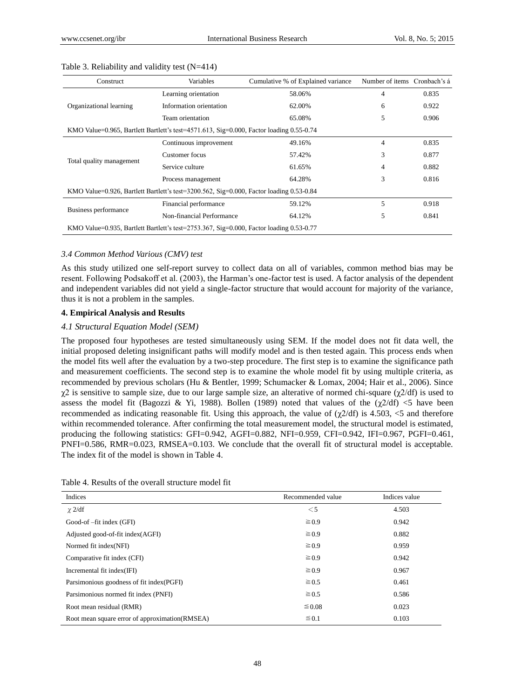| Construct                                                                                  | Variables                                                                                  | Cumulative % of Explained variance | Number of items Cronbach's á |       |
|--------------------------------------------------------------------------------------------|--------------------------------------------------------------------------------------------|------------------------------------|------------------------------|-------|
|                                                                                            | Learning orientation                                                                       | 58.06%                             | 4                            | 0.835 |
| Organizational learning                                                                    | Information orientation                                                                    | 62.00%                             | 6                            | 0.922 |
|                                                                                            | Team orientation                                                                           | 65.08%                             | 5                            | 0.906 |
|                                                                                            | KMO Value=0.965, Bartlett Bartlett's test=4571.613, Sig=0.000, Factor loading $0.55$ -0.74 |                                    |                              |       |
|                                                                                            | Continuous improvement                                                                     | 49.16%                             | 4                            | 0.835 |
| Total quality management                                                                   | Customer focus                                                                             | 57.42%                             | 3                            | 0.877 |
|                                                                                            | Service culture                                                                            | 61.65%                             | 4                            | 0.882 |
|                                                                                            | Process management                                                                         | 64.28%                             | 3                            | 0.816 |
| KMO Value=0.926, Bartlett Bartlett's test=3200.562, Sig=0.000, Factor loading 0.53-0.84    |                                                                                            |                                    |                              |       |
| Business performance                                                                       | Financial performance                                                                      | 59.12%                             | 5                            | 0.918 |
|                                                                                            | Non-financial Performance                                                                  | 64.12%                             | 5                            | 0.841 |
| KMO Value=0.935, Bartlett Bartlett's test=2753.367, Sig=0.000, Factor loading $0.53$ -0.77 |                                                                                            |                                    |                              |       |

## Table 3. Reliability and validity test (N=414)

## *3.4 Common Method Various (CMV) test*

As this study utilized one self-report survey to collect data on all of variables, common method bias may be resent. Following Podsakoff et al. (2003), the Harman"s one-factor test is used. A factor analysis of the dependent and independent variables did not yield a single-factor structure that would account for majority of the variance, thus it is not a problem in the samples.

## **4. Empirical Analysis and Results**

# *4.1 Structural Equation Model (SEM)*

The proposed four hypotheses are tested simultaneously using SEM. If the model does not fit data well, the initial proposed deleting insignificant paths will modify model and is then tested again. This process ends when the model fits well after the evaluation by a two-step procedure. The first step is to examine the significance path and measurement coefficients. The second step is to examine the whole model fit by using multiple criteria, as recommended by previous scholars (Hu & Bentler, 1999; Schumacker & Lomax, 2004; Hair et al., 2006). Since  $χ$ 2 is sensitive to sample size, due to our large sample size, an alterative of normed chi-square ( $χ$ 2/df) is used to assess the model fit (Bagozzi & Yi, 1988). Bollen (1989) noted that values of the ( $\chi$ 2/df) <5 have been recommended as indicating reasonable fit. Using this approach, the value of  $(\chi/2/df)$  is 4.503, <5 and therefore within recommended tolerance. After confirming the total measurement model, the structural model is estimated, producing the following statistics: GFI=0.942, AGFI=0.882, NFI=0.959, CFI=0.942, IFI=0.967, PGFI=0.461, PNFI=0.586, RMR=0.023, RMSEA=0.103. We conclude that the overall fit of structural model is acceptable. The index fit of the model is shown in Table 4.

|  |  | Table 4. Results of the overall structure model fit |  |  |
|--|--|-----------------------------------------------------|--|--|
|--|--|-----------------------------------------------------|--|--|

| Indices                                         | Recommended value | Indices value |
|-------------------------------------------------|-------------------|---------------|
| $\chi$ 2/df                                     | $\leq$ 5          | 4.503         |
| Good-of-fit index (GFI)                         | $\geq 0.9$        | 0.942         |
| Adjusted good-of-fit index (AGFI)               | $\geq 0.9$        | 0.882         |
| Normed fit index (NFI)                          | $\geq 0.9$        | 0.959         |
| Comparative fit index (CFI)                     | $\geq 0.9$        | 0.942         |
| Incremental fit index(IFI)                      | $\geq 0.9$        | 0.967         |
| Parsimonious goodness of fit index (PGFI)       | $\geq 0.5$        | 0.461         |
| Parsimonious normed fit index (PNFI)            | $\geq 0.5$        | 0.586         |
| Root mean residual (RMR)                        | $\leq 0.08$       | 0.023         |
| Root mean square error of approximation (RMSEA) | $\leq 0.1$        | 0.103         |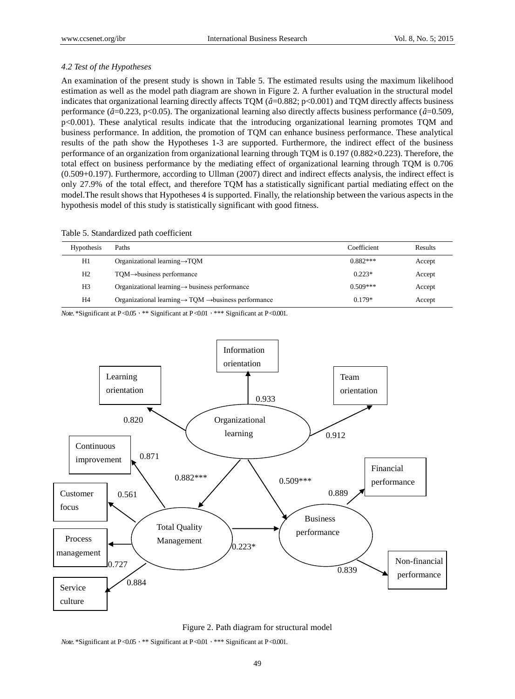# *4.2 Test of the Hypotheses*

An examination of the present study is shown in Table 5. The estimated results using the maximum likelihood estimation as well as the model path diagram are shown in Figure 2. A further evaluation in the structural model indicates that organizational learning directly affects TQM (*â*=0.882; p<0.001) and TQM directly affects business performance (*â*=0.223, p<0.05). The organizational learning also directly affects business performance (*â*=0.509, p<0.001). These analytical results indicate that the introducing organizational learning promotes TQM and business performance. In addition, the promotion of TQM can enhance business performance. These analytical results of the path show the Hypotheses 1-3 are supported. Furthermore, the indirect effect of the business performance of an organization from organizational learning through TQM is  $0.197 (0.882 \times 0.223)$ . Therefore, the total effect on business performance by the mediating effect of organizational learning through TQM is 0.706 (0.509+0.197). Furthermore, according to Ullman (2007) direct and indirect effects analysis, the indirect effect is only 27.9% of the total effect, and therefore TQM has a statistically significant partial mediating effect on the model.The result shows that Hypotheses 4 is supported. Finally, the relationship between the various aspects in the hypothesis model of this study is statistically significant with good fitness.

|  | Table 5. Standardized path coefficient |  |  |
|--|----------------------------------------|--|--|
|--|----------------------------------------|--|--|

| <b>Hypothesis</b> | Paths                                                                        | Coefficient | Results |
|-------------------|------------------------------------------------------------------------------|-------------|---------|
| H1                | Organizational learning $\rightarrow$ TQM                                    | $0.882***$  | Accept  |
| H2                | $TOM \rightarrow$ business performance                                       | $0.223*$    | Accept  |
| H3                | Organizational learning $\rightarrow$ business performance                   | $0.509***$  | Accept  |
| H4                | Organizational learning $\rightarrow$ TQM $\rightarrow$ business performance | $0.179*$    | Accept  |

*Note*. \*Significant at P<0.05, \*\*\* Significant at P<0.01, \*\*\* Significant at P<0.001.





*Note.*\*Significant at P<0.05,\*\*\* Significant at P<0.01,\*\*\* Significant at P<0.001.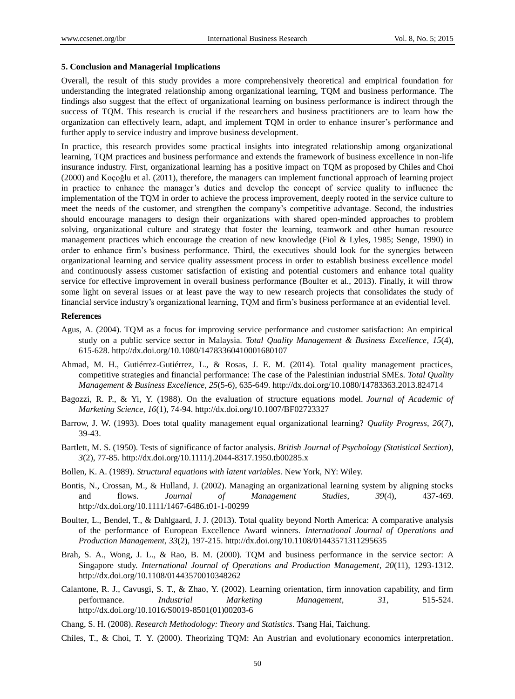## **5. Conclusion and Managerial Implications**

Overall, the result of this study provides a more comprehensively theoretical and empirical foundation for understanding the integrated relationship among organizational learning, TQM and business performance. The findings also suggest that the effect of organizational learning on business performance is indirect through the success of TQM. This research is crucial if the researchers and business practitioners are to learn how the organization can effectively learn, adapt, and implement TQM in order to enhance insurer"s performance and further apply to service industry and improve business development.

In practice, this research provides some practical insights into integrated relationship among organizational learning, TQM practices and business performance and extends the framework of business excellence in non-life insurance industry. First, organizational learning has a positive impact on TQM as proposed by Chiles and Choi (2000) and Koçoğlu et al. (2011), therefore, the managers can implement functional approach of learning project in practice to enhance the manager"s duties and develop the concept of service quality to influence the implementation of the TQM in order to achieve the process improvement, deeply rooted in the service culture to meet the needs of the customer, and strengthen the company"s competitive advantage. Second, the industries should encourage managers to design their organizations with shared open-minded approaches to problem solving, organizational culture and strategy that foster the learning, teamwork and other human resource management practices which encourage the creation of new knowledge (Fiol & Lyles, 1985; Senge, 1990) in order to enhance firm"s business performance. Third, the executives should look for the synergies between organizational learning and service quality assessment process in order to establish business excellence model and continuously assess customer satisfaction of existing and potential customers and enhance total quality service for effective improvement in overall business performance (Boulter et al., 2013). Finally, it will throw some light on several issues or at least pave the way to new research projects that consolidates the study of financial service industry"s organizational learning, TQM and firm"s business performance at an evidential level.

#### **References**

- Agus, A. (2004). TQM as a focus for improving service performance and customer satisfaction: An empirical study on a public service sector in Malaysia. *Total Quality Management & Business Excellence, 15*(4), 615-628. http://dx.doi.org/10.1080/14783360410001680107
- Ahmad, M. H., Gutiérrez-Gutiérrez, L., & Rosas, J. E. M. (2014). Total quality management practices, competitive strategies and financial performance: The case of the Palestinian industrial SMEs. *Total Quality Management & Business Excellence, 25*(5-6), 635-649. http://dx.doi.org/10.1080/14783363.2013.824714
- Bagozzi, R. P., & Yi, Y. (1988). On the evaluation of structure equations model. *Journal of Academic of Marketing Science, 16*(1), 74-94. http://dx.doi.org/10.1007/BF02723327
- Barrow, J. W. (1993). Does total quality management equal organizational learning? *Quality Progress, 26*(7), 39-43.
- Bartlett, M. S. (1950). Tests of significance of factor analysis. *British Journal of Psychology (Statistical Section), 3*(2), 77-85. http://dx.doi.org/10.1111/j.2044-8317.1950.tb00285.x
- Bollen, K. A. (1989). *Structural equations with latent variables.* New York, NY: Wiley.
- Bontis, N., Crossan, M., & Hulland, J. (2002). Managing an organizational learning system by aligning stocks and flows. *Journal of Management Studies, 39*(4), 437-469. http://dx.doi.org/10.1111/1467-6486.t01-1-00299
- Boulter, L., Bendel, T., & Dahlgaard, J. J. (2013). Total quality beyond North America: A comparative analysis of the performance of European Excellence Award winners. *International Journal of Operations and Production Management, 33*(2), 197-215. http://dx.doi.org/10.1108/01443571311295635
- Brah, S. A., Wong, J. L., & Rao, B. M. (2000). TQM and business performance in the service sector: A Singapore study. *International Journal of Operations and Production Management, 20*(11), 1293-1312. http://dx.doi.org/10.1108/01443570010348262
- Calantone, R. J., Cavusgi, S. T., & Zhao, Y. (2002). Learning orientation, firm innovation capability, and firm performance. *Industrial Marketing Management, 31*, 515-524. http://dx.doi.org/10.1016/S0019-8501(01)00203-6

Chang, S. H. (2008). *Research Methodology: Theory and Statistics*. Tsang Hai, Taichung.

Chiles, T., & Choi, T. Y. (2000). Theorizing TQM: An Austrian and evolutionary economics interpretation.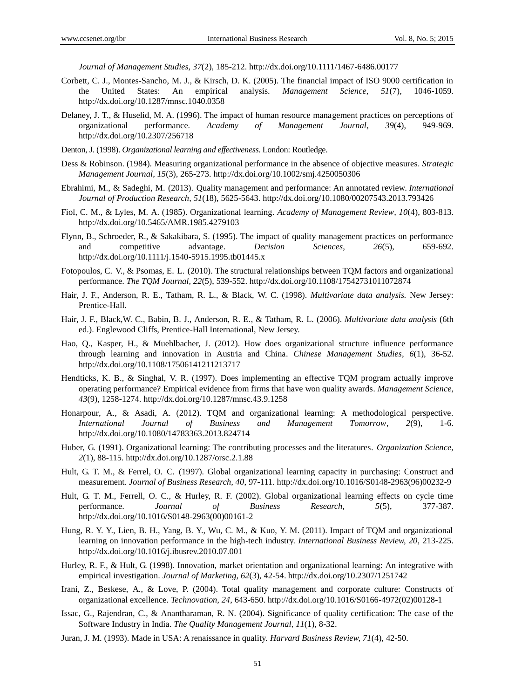*Journal of Management Studies, 37*(2), 185-212. http://dx.doi.org/10.1111/1467-6486.00177

- Corbett, C. J., Montes-Sancho, M. J., & Kirsch, D. K. (2005). The financial impact of ISO 9000 certification in the United States: An empirical analysis. *Management Science, 51*(7), 1046-1059. http://dx.doi.org/10.1287/mnsc.1040.0358
- Delaney, J. T., & Huselid, M. A. (1996). The impact of human resource management practices on perceptions of organizational performance. *Academy of Management Journal, 39*(4), 949-969. http://dx.doi.org/10.2307/256718
- Denton, J. (1998). *Organizational learning and effectiveness*. London: Routledge.
- Dess & Robinson. (1984). Measuring organizational performance in the absence of objective measures. *Strategic Management Journal, 15*(3), 265-273. http://dx.doi.org/10.1002/smj.4250050306
- Ebrahimi, M., & Sadeghi, M. (2013). Quality management and performance: An annotated review. *International Journal of Production Research, 51*(18), 5625-5643. http://dx.doi.org/10.1080/00207543.2013.793426
- Fiol, C. M., & Lyles, M. A. (1985). Organizational learning. *Academy of Management Review, 10*(4), 803-813. http://dx.doi.org/10.5465/AMR.1985.4279103
- Flynn, B., Schroeder, R., & Sakakibara, S. (1995). The impact of quality management practices on performance and competitive advantage. *Decision Sciences, 26*(5), 659-692. http://dx.doi.org/10.1111/j.1540-5915.1995.tb01445.x
- Fotopoulos, C. V., & Psomas, E. L. (2010). The structural relationships between TQM factors and organizational performance. *The TQM Journal, 22*(5), 539-552. http://dx.doi.org/10.1108/17542731011072874
- Hair, J. F., Anderson, R. E., Tatham, R. L., & Black, W. C. (1998). *Multivariate data analysis.* New Jersey: Prentice-Hall.
- Hair, J. F., Black,W. C., Babin, B. J., Anderson, R. E., & Tatham, R. L. (2006). *Multivariate data analysis* (6th ed.). Englewood Cliffs, Prentice-Hall International, New Jersey.
- Hao, Q., Kasper, H., & Muehlbacher, J. (2012). How does organizational structure influence performance through learning and innovation in Austria and China. *Chinese Management Studies, 6*(1), 36-52. http://dx.doi.org/10.1108/17506141211213717
- Hendticks, K. B., & Singhal, V. R. (1997). Does implementing an effective TQM program actually improve operating performance? Empirical evidence from firms that have won quality awards. *Management Science, 43*(9), 1258-1274. http://dx.doi.org/10.1287/mnsc.43.9.1258
- Honarpour, A., & Asadi, A. (2012). TQM and organizational learning: A methodological perspective. *International Journal of Business and Management Tomorrow, 2*(9), 1-6. http://dx.doi.org/10.1080/14783363.2013.824714
- Huber, G. (1991). Organizational learning: The contributing processes and the literatures. *Organization Science, 2*(1), 88-115. http://dx.doi.org/10.1287/orsc.2.1.88
- Hult, G. T. M., & Ferrel, O. C. (1997). Global organizational learning capacity in purchasing: Construct and measurement. *Journal of Business Research, 40*, 97-111. http://dx.doi.org/10.1016/S0148-2963(96)00232-9
- Hult, G. T. M., Ferrell, O. C., & Hurley, R. F. (2002). Global organizational learning effects on cycle time performance. *Journal of Business Research, 5*(5), 377-387. http://dx.doi.org/10.1016/S0148-2963(00)00161-2
- Hung, R. Y. Y., Lien, B. H., Yang, B. Y., Wu, C. M., & Kuo, Y. M. (2011). Impact of TQM and organizational learning on innovation performance in the high-tech industry. *International Business Review, 20*, 213-225. http://dx.doi.org/10.1016/j.ibusrev.2010.07.001
- Hurley, R. F., & Hult, G. (1998). Innovation, market orientation and organizational learning: An integrative with empirical investigation. *Journal of Marketing, 62*(3), 42-54. http://dx.doi.org/10.2307/1251742
- Irani, Z., Beskese, A., & Love, P. (2004). Total quality management and corporate culture: Constructs of organizational excellence. *Technovation, 24*, 643-650. http://dx.doi.org/10.1016/S0166-4972(02)00128-1
- Issac, G., Rajendran, C., & Anantharaman, R. N. (2004). Significance of quality certification: The case of the Software Industry in India. *The Quality Management Journal, 11*(1), 8-32.
- Juran, J. M. (1993). Made in USA: A renaissance in quality. *Harvard Business Review, 71*(4), 42-50.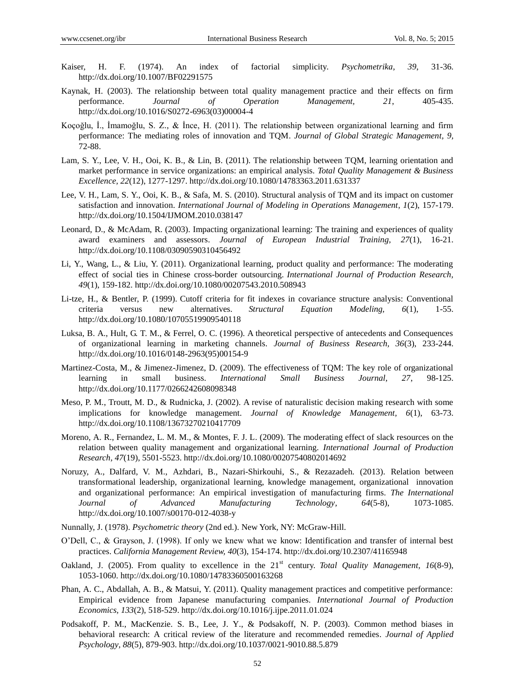- Kaiser, H. F. (1974). An index of factorial simplicity. *Psychometrika, 39*, 31-36. http://dx.doi.org/10.1007/BF02291575
- Kaynak, H. (2003). The relationship between total quality management practice and their effects on firm performance. *Journal of Operation Management, 21*, 405-435. http://dx.doi.org/10.1016/S0272-6963(03)00004-4
- Koçoğlu, İ., İmamoğlu, S. Z., & İnce, H. (2011). The relationship between organizational learning and firm performance: The mediating roles of innovation and TQM. *Journal of Global Strategic Management, 9,* 72-88.
- Lam, S. Y., Lee, V. H., Ooi, K. B., & Lin, B. (2011). The relationship between TQM, learning orientation and market performance in service organizations: an empirical analysis. *Total Quality Management & Business Excellence, 22*(12), 1277-1297. http://dx.doi.org/10.1080/14783363.2011.631337
- Lee, V. H., Lam, S. Y., Ooi, K. B., & Safa, M. S. (2010). Structural analysis of TQM and its impact on customer satisfaction and innovation. *International Journal of Modeling in Operations Management, 1*(2), 157-179. http://dx.doi.org/10.1504/IJMOM.2010.038147
- Leonard, D., & McAdam, R. (2003). Impacting organizational learning: The training and experiences of quality award examiners and assessors. *Journal of European Industrial Training, 27*(1), 16-21. http://dx.doi.org/10.1108/03090590310456492
- Li, Y., Wang, L., & Liu, Y. (2011). Organizational learning, product quality and performance: The moderating effect of social ties in Chinese cross-border outsourcing. *International Journal of Production Research, 49*(1), 159-182. http://dx.doi.org/10.1080/00207543.2010.508943
- Li-tze, H., & Bentler, P. (1999). Cutoff criteria for fit indexes in covariance structure analysis: Conventional criteria versus new alternatives. *Structural Equation Modeling, 6*(1), 1-55. http://dx.doi.org/10.1080/10705519909540118
- Luksa, B. A., Hult, G. T. M., & Ferrel, O. C. (1996). A theoretical perspective of antecedents and Consequences of organizational learning in marketing channels. *Journal of Business Research, 36*(3), 233-244. http://dx.doi.org/10.1016/0148-2963(95)00154-9
- Martinez-Costa, M., & Jimenez-Jimenez, D. (2009). The effectiveness of TQM: The key role of organizational learning in small business. *International Small Business Journal, 27*, 98-125. http://dx.doi.org/10.1177/0266242608098348
- Meso, P. M., Troutt, M. D., & Rudnicka, J. (2002). A revise of naturalistic decision making research with some implications for knowledge management. *Journal of Knowledge Management, 6*(1), 63-73. http://dx.doi.org/10.1108/13673270210417709
- Moreno, A. R., Fernandez, L. M. M., & Montes, F. J. L. (2009). The moderating effect of slack resources on the relation between quality management and organizational learning*. International Journal of Production Research, 47*(19), 5501-5523. http://dx.doi.org/10.1080/00207540802014692
- Noruzy, A., Dalfard, V. M., Azhdari, B., Nazari-Shirkouhi, S., & Rezazadeh. (2013). Relation between transformational leadership, organizational learning, knowledge management, organizational innovation and organizational performance: An empirical investigation of manufacturing firms. *The International Journal of Advanced Manufacturing Technology, 64*(5-8), 1073-1085. http://dx.doi.org/10.1007/s00170-012-4038-y
- Nunnally, J. (1978). *Psychometric theory* (2nd ed.). New York, NY: McGraw-Hill.
- O"Dell, C., & Grayson, J. (1998). If only we knew what we know: Identification and transfer of internal best practices. *California Management Review, 40*(3), 154-174. http://dx.doi.org/10.2307/41165948
- Oakland, J. (2005). From quality to excellence in the 21<sup>st</sup> century. *Total Quality Management*, 16(8-9), 1053-1060. http://dx.doi.org/10.1080/14783360500163268
- Phan, A. C., Abdallah, A. B., & Matsui, Y. (2011). Quality management practices and competitive performance: Empirical evidence from Japanese manufacturing companies. *International Journal of Production Economics, 133*(2), 518-529. http://dx.doi.org/10.1016/j.ijpe.2011.01.024
- Podsakoff, P. M., MacKenzie. S. B., Lee, J. Y., & Podsakoff, N. P. (2003). Common method biases in behavioral research: A critical review of the literature and recommended remedies. *Journal of Applied Psychology, 88*(5), 879-903. http://dx.doi.org/10.1037/0021-9010.88.5.879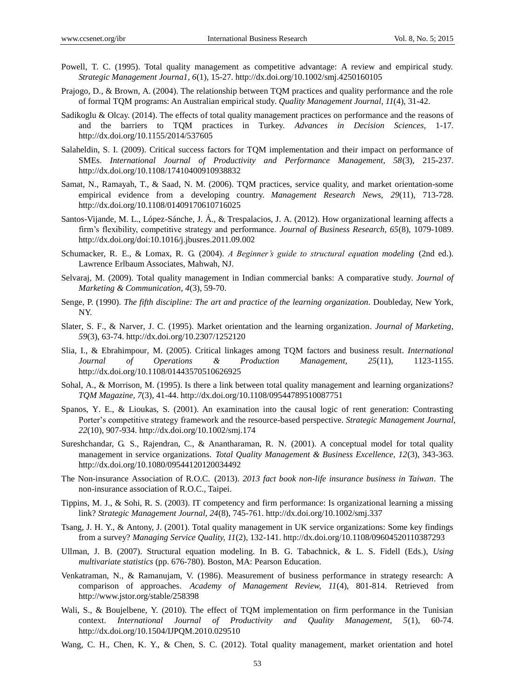- Powell, T. C. (1995). Total quality management as competitive advantage: A review and empirical study. *Strategic Management Journa1, 6*(1), 15-27. http://dx.doi.org/10.1002/smj.4250160105
- Prajogo, D., & Brown, A. (2004). The relationship between TQM practices and quality performance and the role of formal TQM programs: An Australian empirical study. *Quality Management Journal, 11*(4), 31-42.
- Sadikoglu & Olcay. (2014). The effects of total quality management practices on performance and the reasons of and the barriers to TQM practices in Turkey. *Advances in Decision Sciences*, 1-17. http://dx.doi.org/10.1155/2014/537605
- Salaheldin, S. I. (2009). Critical success factors for TQM implementation and their impact on performance of SMEs. *International Journal of Productivity and Performance Management, 58*(3), 215-237. http://dx.doi.org/10.1108/17410400910938832
- Samat, N., Ramayah, T., & Saad, N. M. (2006). TQM practices, service quality, and market orientation-some empirical evidence from a developing country. *Management Research News, 29*(11), 713-728. http://dx.doi.org/10.1108/01409170610716025
- Santos-Vijande, M. L., López-Sánche, J. Á., & Trespalacios, J. A. (2012). How organizational learning affects a firm"s flexibility, competitive strategy and performance. *Journal of Business Research, 65*(8), 1079-1089. http://dx.doi.org/doi:10.1016/j.jbusres.2011.09.002
- Schumacker, R. E., & Lomax, R. G. (2004). *A Beginner's guide to structural equation modeling* (2nd ed.). Lawrence Erlbaum Associates, Mahwah, NJ.
- Selvaraj, M. (2009). Total quality management in Indian commercial banks: A comparative study. *Journal of Marketing & Communication, 4*(3), 59-70.
- Senge, P. (1990). *The fifth discipline: The art and practice of the learning organization.* Doubleday, New York, NY.
- Slater, S. F., & Narver, J. C. (1995). Market orientation and the learning organization. *Journal of Marketing, 59*(3), 63-74. http://dx.doi.org/10.2307/1252120
- Slia, I., & Ebrahimpour, M. (2005). Critical linkages among TQM factors and business result. *International Journal of Operations & Production Management, 25*(11), 1123-1155. http://dx.doi.org/10.1108/01443570510626925
- Sohal, A., & Morrison, M. (1995). Is there a link between total quality management and learning organizations? *TQM Magazine, 7*(3), 41-44. http://dx.doi.org/10.1108/09544789510087751
- Spanos, Y. E., & Lioukas, S. (2001). An examination into the causal logic of rent generation: Contrasting Porter"s competitive strategy framework and the resource-based perspective. *Strategic Management Journal, 22*(10), 907-934. http://dx.doi.org/10.1002/smj.174
- Sureshchandar, G. S., Rajendran, C., & Anantharaman, R. N. (2001). A conceptual model for total quality management in service organizations. *Total Quality Management & Business Excellence, 12*(3), 343-363. http://dx.doi.org/10.1080/09544120120034492
- The Non-insurance Association of R.O.C. (2013). *2013 fact book non-life insurance business in Taiwan*. The non-insurance association of R.O.C., Taipei.
- Tippins, M. J., & Sohi, R. S. (2003). IT competency and firm performance: Is organizational learning a missing link? *Strategic Management Journal, 24*(8), 745-761. http://dx.doi.org/10.1002/smj.337
- Tsang, J. H. Y., & Antony, J. (2001). Total quality management in UK service organizations: Some key findings from a survey? *Managing Service Quality, 11*(2), 132-141. http://dx.doi.org/10.1108/09604520110387293
- Ullman, J. B. (2007). Structural equation modeling. In B. G. Tabachnick, & L. S. Fidell (Eds.), *Using multivariate statistics* (pp. 676-780). Boston, MA: Pearson Education.
- Venkatraman, N., & Ramanujam, V. (1986). Measurement of business performance in strategy research: A comparison of approaches. *Academy of Management Review, 11*(4), 801-814. Retrieved from http://www.jstor.org/stable/258398
- Wali, S., & Boujelbene, Y. (2010). The effect of TOM implementation on firm performance in the Tunisian context. *International Journal of Productivity and Quality Management, 5*(1), 60-74. http://dx.doi.org/10.1504/IJPQM.2010.029510
- Wang, C. H., Chen, K. Y., & Chen, S. C. (2012). Total quality management, market orientation and hotel